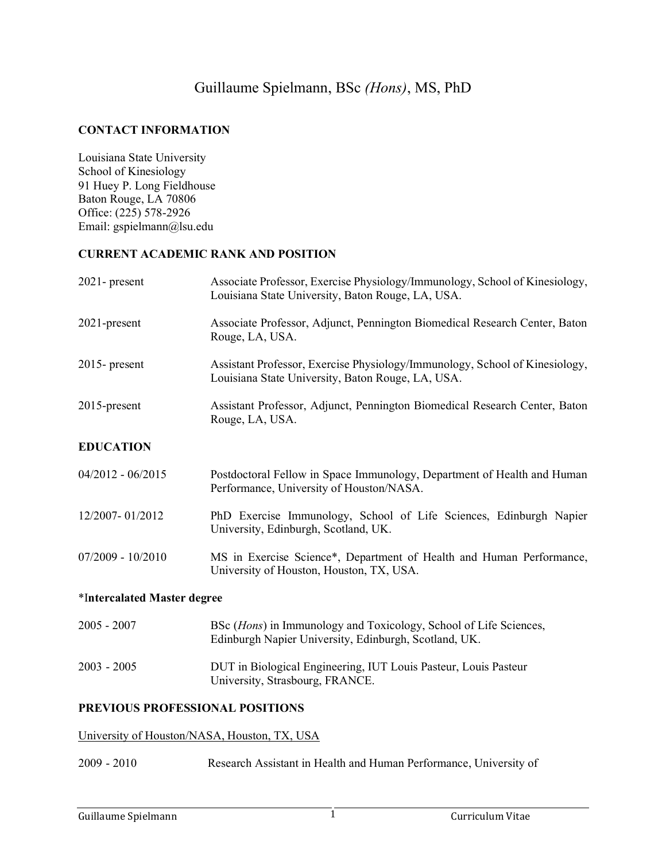# Guillaume Spielmann, BSc *(Hons)*, MS, PhD

#### **CONTACT INFORMATION**

Louisiana State University School of Kinesiology 91 Huey P. Long Fieldhouse Baton Rouge, LA 70806 Office: (225) 578-2926 Email: gspielmann@lsu.edu

#### **CURRENT ACADEMIC RANK AND POSITION**

| $2021$ - present            | Associate Professor, Exercise Physiology/Immunology, School of Kinesiology,<br>Louisiana State University, Baton Rouge, LA, USA. |
|-----------------------------|----------------------------------------------------------------------------------------------------------------------------------|
| 2021-present                | Associate Professor, Adjunct, Pennington Biomedical Research Center, Baton<br>Rouge, LA, USA.                                    |
| $2015$ - present            | Assistant Professor, Exercise Physiology/Immunology, School of Kinesiology,<br>Louisiana State University, Baton Rouge, LA, USA. |
| 2015-present                | Assistant Professor, Adjunct, Pennington Biomedical Research Center, Baton<br>Rouge, LA, USA.                                    |
| <b>EDUCATION</b>            |                                                                                                                                  |
| $04/2012 - 06/2015$         | Postdoctoral Fellow in Space Immunology, Department of Health and Human<br>Performance, University of Houston/NASA.              |
| 12/2007-01/2012             | PhD Exercise Immunology, School of Life Sciences, Edinburgh Napier<br>University, Edinburgh, Scotland, UK.                       |
| $07/2009 - 10/2010$         | MS in Exercise Science*, Department of Health and Human Performance,<br>University of Houston, Houston, TX, USA.                 |
| *Intercalated Master degree |                                                                                                                                  |
| $2005 - 2007$               | BSc (Hons) in Immunology and Toxicology, School of Life Sciences,<br>Edinburgh Napier University, Edinburgh, Scotland, UK.       |
| $2003 - 2005$               | DUT in Biological Engineering, IUT Louis Pasteur, Louis Pasteur                                                                  |

#### **PREVIOUS PROFESSIONAL POSITIONS**

#### University of Houston/NASA, Houston, TX, USA

2009 - 2010 Research Assistant in Health and Human Performance, University of

University, Strasbourg, FRANCE.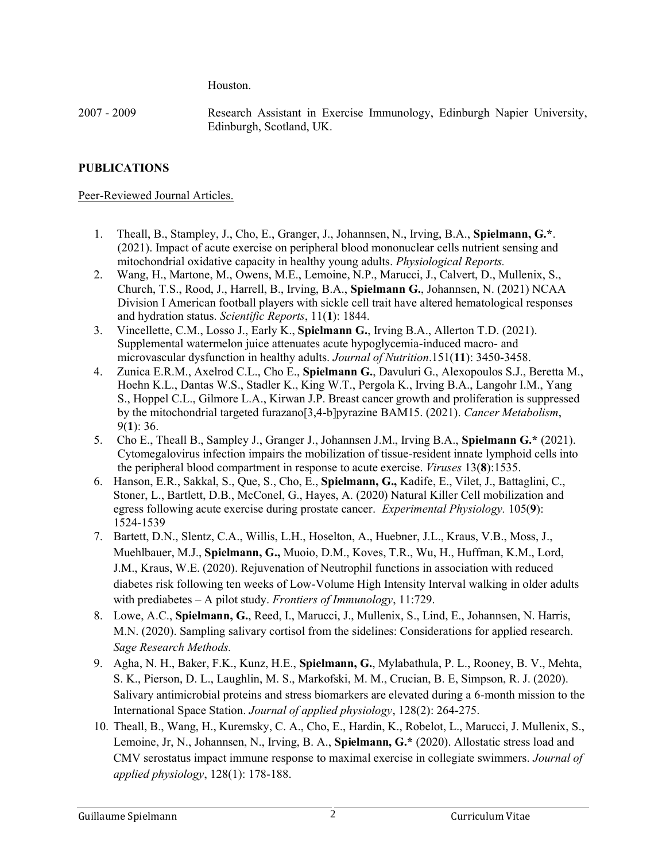Houston.

2007 - 2009 Research Assistant in Exercise Immunology, Edinburgh Napier University, Edinburgh, Scotland, UK.

## **PUBLICATIONS**

### Peer-Reviewed Journal Articles.

- 1. Theall, B., Stampley, J., Cho, E., Granger, J., Johannsen, N., Irving, B.A., **Spielmann, G.\***. (2021). Impact of acute exercise on peripheral blood mononuclear cells nutrient sensing and mitochondrial oxidative capacity in healthy young adults. *Physiological Reports.*
- 2. Wang, H., Martone, M., Owens, M.E., Lemoine, N.P., Marucci, J., Calvert, D., Mullenix, S., Church, T.S., Rood, J., Harrell, B., Irving, B.A., **Spielmann G.**, Johannsen, N. (2021) NCAA Division I American football players with sickle cell trait have altered hematological responses and hydration status. *Scientific Reports*, 11(**1**): 1844.
- 3. Vincellette, C.M., Losso J., Early K., **Spielmann G.**, Irving B.A., Allerton T.D. (2021). Supplemental watermelon juice attenuates acute hypoglycemia-induced macro- and microvascular dysfunction in healthy adults. *Journal of Nutrition*.151(**11**): 3450-3458.
- 4. Zunica E.R.M., Axelrod C.L., Cho E., **Spielmann G.**, Davuluri G., Alexopoulos S.J., Beretta M., Hoehn K.L., Dantas W.S., Stadler K., King W.T., Pergola K., Irving B.A., Langohr I.M., Yang S., Hoppel C.L., Gilmore L.A., Kirwan J.P. Breast cancer growth and proliferation is suppressed by the mitochondrial targeted furazano[3,4-b]pyrazine BAM15. (2021). *Cancer Metabolism*, 9(**1**): 36.
- 5. Cho E., Theall B., Sampley J., Granger J., Johannsen J.M., Irving B.A., **Spielmann G.\*** (2021). Cytomegalovirus infection impairs the mobilization of tissue-resident innate lymphoid cells into the peripheral blood compartment in response to acute exercise. *Viruses* 13(**8**):1535.
- 6. Hanson, E.R., Sakkal, S., Que, S., Cho, E., **Spielmann, G.,** Kadife, E., Vilet, J., Battaglini, C., Stoner, L., Bartlett, D.B., McConel, G., Hayes, A. (2020) Natural Killer Cell mobilization and egress following acute exercise during prostate cancer. *Experimental Physiology.* 105(**9**): 1524-1539
- 7. Bartett, D.N., Slentz, C.A., Willis, L.H., Hoselton, A., Huebner, J.L., Kraus, V.B., Moss, J., Muehlbauer, M.J., **Spielmann, G.,** Muoio, D.M., Koves, T.R., Wu, H., Huffman, K.M., Lord, J.M., Kraus, W.E. (2020). Rejuvenation of Neutrophil functions in association with reduced diabetes risk following ten weeks of Low-Volume High Intensity Interval walking in older adults with prediabetes – A pilot study. *Frontiers of Immunology*, 11:729.
- 8. Lowe, A.C., **Spielmann, G.**, Reed, I., Marucci, J., Mullenix, S., Lind, E., Johannsen, N. Harris, M.N. (2020). Sampling salivary cortisol from the sidelines: Considerations for applied research. *Sage Research Methods.*
- 9. Agha, N. H., Baker, F.K., Kunz, H.E., **Spielmann, G.**, Mylabathula, P. L., Rooney, B. V., Mehta, S. K., Pierson, D. L., Laughlin, M. S., Markofski, M. M., Crucian, B. E, Simpson, R. J. (2020). Salivary antimicrobial proteins and stress biomarkers are elevated during a 6-month mission to the International Space Station. *Journal of applied physiology*, 128(2): 264-275.
- 10. Theall, B., Wang, H., Kuremsky, C. A., Cho, E., Hardin, K., Robelot, L., Marucci, J. Mullenix, S., Lemoine, Jr, N., Johannsen, N., Irving, B. A., **Spielmann, G.\*** (2020). Allostatic stress load and CMV serostatus impact immune response to maximal exercise in collegiate swimmers. *Journal of applied physiology*, 128(1): 178-188.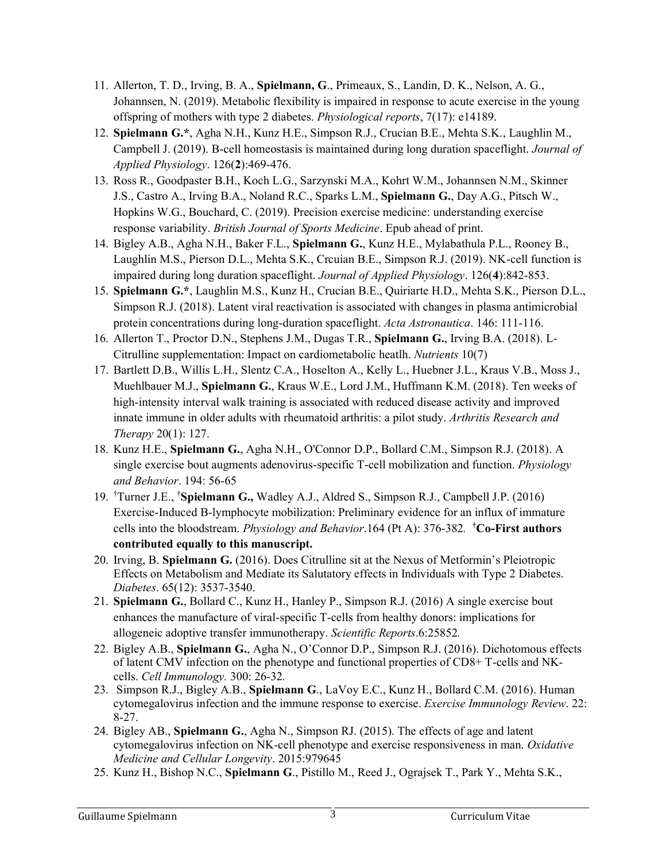- 11. Allerton, T. D., Irving, B. A., **Spielmann, G**., Primeaux, S., Landin, D. K., Nelson, A. G., Johannsen, N. (2019). Metabolic flexibility is impaired in response to acute exercise in the young offspring of mothers with type 2 diabetes. *Physiological reports*, 7(17): e14189.
- 12. **Spielmann G.\***, Agha N.H., Kunz H.E., Simpson R.J., Crucian B.E., Mehta S.K., Laughlin M., Campbell J. (2019). B-cell homeostasis is maintained during long duration spaceflight. *Journal of Applied Physiology*. 126(**2**):469-476.
- 13. Ross R., Goodpaster B.H., Koch L.G., Sarzynski M.A., Kohrt W.M., Johannsen N.M., Skinner J.S., Castro A., Irving B.A., Noland R.C., Sparks L.M., **Spielmann G.**, Day A.G., Pitsch W., Hopkins W.G., Bouchard, C. (2019). Precision exercise medicine: understanding exercise response variability. *British Journal of Sports Medicine*. Epub ahead of print.
- 14. Bigley A.B., Agha N.H., Baker F.L., **Spielmann G.**, Kunz H.E., Mylabathula P.L., Rooney B., Laughlin M.S., Pierson D.L., Mehta S.K., Crcuian B.E., Simpson R.J. (2019). NK-cell function is impaired during long duration spaceflight. *Journal of Applied Physiology*. 126(**4**):842-853.
- 15. **Spielmann G.\***, Laughlin M.S., Kunz H., Crucian B.E., Quiriarte H.D., Mehta S.K., Pierson D.L., Simpson R.J. (2018). Latent viral reactivation is associated with changes in plasma antimicrobial protein concentrations during long-duration spaceflight. *Acta Astronautica*. 146: 111-116.
- 16. Allerton T., Proctor D.N., Stephens J.M., Dugas T.R., **Spielmann G.**, Irving B.A. (2018). L-Citrulline supplementation: Impact on cardiometabolic heatlh. *Nutrients* 10(7)
- 17. Bartlett D.B., Willis L.H., Slentz C.A., Hoselton A., Kelly L., Huebner J.L., Kraus V.B., Moss J., Muehlbauer M.J., **Spielmann G.**, Kraus W.E., Lord J.M., Huffmann K.M. (2018). Ten weeks of high-intensity interval walk training is associated with reduced disease activity and improved innate immune in older adults with rheumatoid arthritis: a pilot study. *Arthritis Research and Therapy* 20(1): 127.
- 18. Kunz H.E., **Spielmann G.**, Agha N.H., O'Connor D.P., Bollard C.M., Simpson R.J. (2018). A single exercise bout augments adenovirus-specific T-cell mobilization and function. *Physiology and Behavior*. 194: 56-65
- 19. †Turner J.E., †**Spielmann G.,** Wadley A.J., Aldred S., Simpson R.J., Campbell J.P. (2016) Exercise-Induced B-lymphocyte mobilization: Preliminary evidence for an influx of immature cells into the bloodstream. *Physiology and Behavior*.164 (Pt A): 376-382*.*  **†Co-First authors contributed equally to this manuscript.**
- 20. Irving, B. **Spielmann G.** (2016). Does Citrulline sit at the Nexus of Metformin's Pleiotropic Effects on Metabolism and Mediate its Salutatory effects in Individuals with Type 2 Diabetes. *Diabetes*. 65(12): 3537-3540.
- 21. **Spielmann G.**, Bollard C., Kunz H., Hanley P., Simpson R.J. (2016) A single exercise bout enhances the manufacture of viral-specific T-cells from healthy donors: implications for allogeneic adoptive transfer immunotherapy. *Scientific Reports*.6:25852*.*
- 22. Bigley A.B., **Spielmann G.**, Agha N., O'Connor D.P., Simpson R.J. (2016). Dichotomous effects of latent CMV infection on the phenotype and functional properties of CD8+ T-cells and NKcells. *Cell Immunology.* 300: 26-32*.*
- 23. Simpson R.J., Bigley A.B., **Spielmann G**., LaVoy E.C., Kunz H., Bollard C.M. (2016). Human cytomegalovirus infection and the immune response to exercise. *Exercise Immunology Review*. 22: 8-27.
- 24. Bigley AB., **Spielmann G.**, Agha N., Simpson RJ. (2015). The effects of age and latent cytomegalovirus infection on NK-cell phenotype and exercise responsiveness in man. *Oxidative Medicine and Cellular Longevity*. 2015:979645
- 25. Kunz H., Bishop N.C., **Spielmann G**., Pistillo M., Reed J., Ograjsek T., Park Y., Mehta S.K.,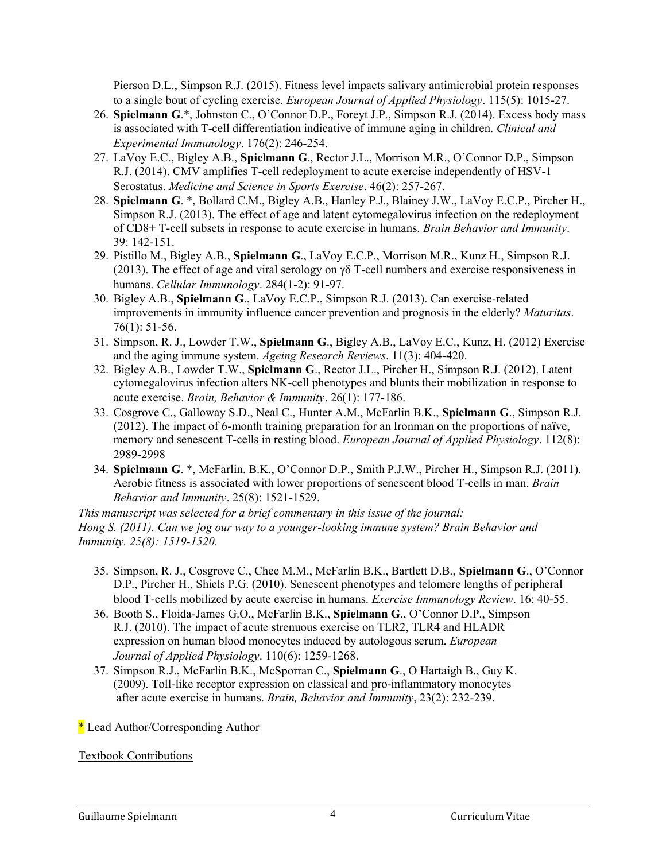Pierson D.L., Simpson R.J. (2015). Fitness level impacts salivary antimicrobial protein responses to a single bout of cycling exercise. *European Journal of Applied Physiology*. 115(5): 1015-27.

- 26. **Spielmann G**.\*, Johnston C., O'Connor D.P., Foreyt J.P., Simpson R.J. (2014). Excess body mass is associated with T-cell differentiation indicative of immune aging in children. *Clinical and Experimental Immunology*. 176(2): 246-254.
- 27. LaVoy E.C., Bigley A.B., **Spielmann G**., Rector J.L., Morrison M.R., O'Connor D.P., Simpson R.J. (2014). CMV amplifies T-cell redeployment to acute exercise independently of HSV-1 Serostatus. *Medicine and Science in Sports Exercise*. 46(2): 257-267.
- 28. **Spielmann G**. \*, Bollard C.M., Bigley A.B., Hanley P.J., Blainey J.W., LaVoy E.C.P., Pircher H., Simpson R.J. (2013). The effect of age and latent cytomegalovirus infection on the redeployment of CD8+ T-cell subsets in response to acute exercise in humans. *Brain Behavior and Immunity*. 39: 142-151.
- 29. Pistillo M., Bigley A.B., **Spielmann G**., LaVoy E.C.P., Morrison M.R., Kunz H., Simpson R.J. (2013). The effect of age and viral serology on γδ T-cell numbers and exercise responsiveness in humans. *Cellular Immunology*. 284(1-2): 91-97.
- 30. Bigley A.B., **Spielmann G**., LaVoy E.C.P., Simpson R.J. (2013). Can exercise-related improvements in immunity influence cancer prevention and prognosis in the elderly? *Maturitas*. 76(1): 51-56.
- 31. Simpson, R. J., Lowder T.W., **Spielmann G**., Bigley A.B., LaVoy E.C., Kunz, H. (2012) Exercise and the aging immune system. *Ageing Research Reviews*. 11(3): 404-420.
- 32. Bigley A.B., Lowder T.W., **Spielmann G**., Rector J.L., Pircher H., Simpson R.J. (2012). Latent cytomegalovirus infection alters NK-cell phenotypes and blunts their mobilization in response to acute exercise. *Brain, Behavior & Immunity*. 26(1): 177-186.
- 33. Cosgrove C., Galloway S.D., Neal C., Hunter A.M., McFarlin B.K., **Spielmann G**., Simpson R.J. (2012). The impact of 6-month training preparation for an Ironman on the proportions of naïve, memory and senescent T-cells in resting blood. *European Journal of Applied Physiology*. 112(8): 2989-2998
- 34. **Spielmann G**. \*, McFarlin. B.K., O'Connor D.P., Smith P.J.W., Pircher H., Simpson R.J. (2011). Aerobic fitness is associated with lower proportions of senescent blood T-cells in man. *Brain Behavior and Immunity*. 25(8): 1521-1529.

*This manuscript was selected for a brief commentary in this issue of the journal: Hong S. (2011). Can we jog our way to a younger-looking immune system? Brain Behavior and Immunity. 25(8): 1519-1520.* 

- 35. Simpson, R. J., Cosgrove C., Chee M.M., McFarlin B.K., Bartlett D.B., **Spielmann G**., O'Connor D.P., Pircher H., Shiels P.G. (2010). Senescent phenotypes and telomere lengths of peripheral blood T-cells mobilized by acute exercise in humans. *Exercise Immunology Review*. 16: 40-55.
- 36. Booth S., Floida-James G.O., McFarlin B.K., **Spielmann G**., O'Connor D.P., Simpson R.J. (2010). The impact of acute strenuous exercise on TLR2, TLR4 and HLADR expression on human blood monocytes induced by autologous serum. *European Journal of Applied Physiology*. 110(6): 1259-1268.
- 37. Simpson R.J., McFarlin B.K., McSporran C., **Spielmann G**., O Hartaigh B., Guy K. (2009). Toll-like receptor expression on classical and pro-inflammatory monocytes after acute exercise in humans. *Brain, Behavior and Immunity*, 23(2): 232-239.

\* Lead Author/Corresponding Author

Textbook Contributions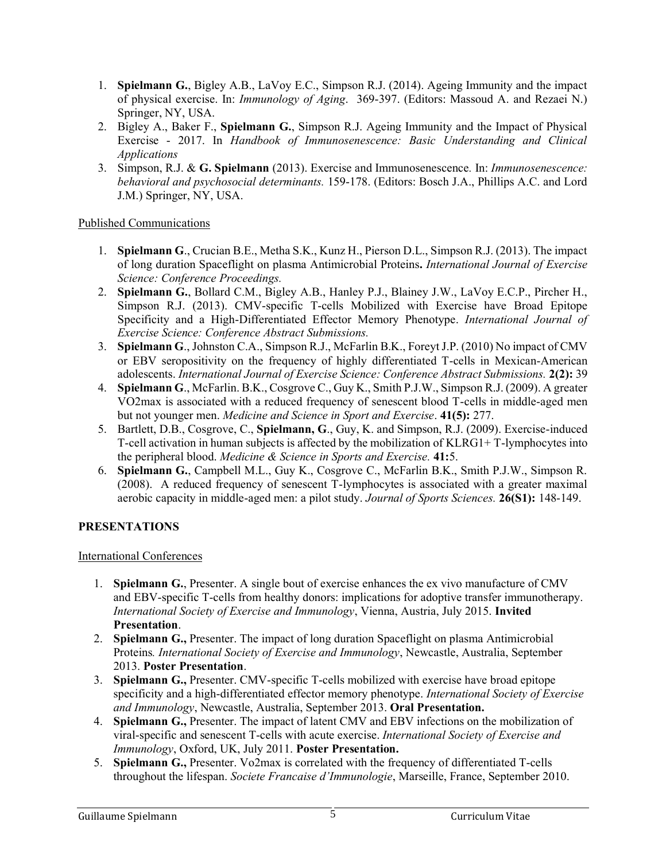- 1. **Spielmann G.**, Bigley A.B., LaVoy E.C., Simpson R.J. (2014). Ageing Immunity and the impact of physical exercise. In: *Immunology of Aging*. 369-397. (Editors: Massoud A. and Rezaei N.) Springer, NY, USA.
- 2. Bigley A., Baker F., **Spielmann G.**, Simpson R.J. Ageing Immunity and the Impact of Physical Exercise - 2017. In *Handbook of Immunosenescence: Basic Understanding and Clinical Applications*
- 3. Simpson, R.J. & **G. Spielmann** (2013). Exercise and Immunosenescence*.* In: *Immunosenescence: behavioral and psychosocial determinants.* 159-178. (Editors: Bosch J.A., Phillips A.C. and Lord J.M.) Springer, NY, USA.

### Published Communications

- 1. **Spielmann G**., Crucian B.E., Metha S.K., Kunz H., Pierson D.L., Simpson R.J. (2013). The impact of long duration Spaceflight on plasma Antimicrobial Proteins**.** *International Journal of Exercise Science: Conference Proceedings.*
- 2. **Spielmann G.**, Bollard C.M., Bigley A.B., Hanley P.J., Blainey J.W., LaVoy E.C.P., Pircher H., Simpson R.J. (2013). CMV-specific T-cells Mobilized with Exercise have Broad Epitope Specificity and a High-Differentiated Effector Memory Phenotype. *International Journal of Exercise Science: Conference Abstract Submissions.*
- 3. **Spielmann G**., Johnston C.A., Simpson R.J., McFarlin B.K., Foreyt J.P. (2010) No impact of CMV or EBV seropositivity on the frequency of highly differentiated T-cells in Mexican-American adolescents. *International Journal of Exercise Science: Conference Abstract Submissions.* **2(2):** 39
- 4. **Spielmann G**., McFarlin. B.K., Cosgrove C., Guy K., Smith P.J.W., Simpson R.J. (2009). A greater VO2max is associated with a reduced frequency of senescent blood T-cells in middle-aged men but not younger men. *Medicine and Science in Sport and Exercise*. **41(5):** 277.
- 5. Bartlett, D.B., Cosgrove, C., **Spielmann, G**., Guy, K. and Simpson, R.J. (2009). Exercise-induced T-cell activation in human subjects is affected by the mobilization of KLRG1+ T-lymphocytes into the peripheral blood. *Medicine & Science in Sports and Exercise.* **41:**5.
- 6. **Spielmann G.**, Campbell M.L., Guy K., Cosgrove C., McFarlin B.K., Smith P.J.W., Simpson R. (2008). A reduced frequency of senescent T-lymphocytes is associated with a greater maximal aerobic capacity in middle-aged men: a pilot study. *Journal of Sports Sciences.* **26(S1):** 148-149.

## **PRESENTATIONS**

## International Conferences

- 1. **Spielmann G.**, Presenter. A single bout of exercise enhances the ex vivo manufacture of CMV and EBV-specific T-cells from healthy donors: implications for adoptive transfer immunotherapy. *International Society of Exercise and Immunology*, Vienna, Austria, July 2015. **Invited Presentation**.
- 2. **Spielmann G.,** Presenter. The impact of long duration Spaceflight on plasma Antimicrobial Proteins*. International Society of Exercise and Immunology*, Newcastle, Australia, September 2013. **Poster Presentation**.
- 3. **Spielmann G.,** Presenter. CMV-specific T-cells mobilized with exercise have broad epitope specificity and a high-differentiated effector memory phenotype. *International Society of Exercise and Immunology*, Newcastle, Australia, September 2013. **Oral Presentation.**
- 4. **Spielmann G.,** Presenter. The impact of latent CMV and EBV infections on the mobilization of viral-specific and senescent T-cells with acute exercise. *International Society of Exercise and Immunology*, Oxford, UK, July 2011. **Poster Presentation.**
- 5. **Spielmann G.,** Presenter. Vo2max is correlated with the frequency of differentiated T-cells throughout the lifespan. *Societe Francaise d'Immunologie*, Marseille, France, September 2010.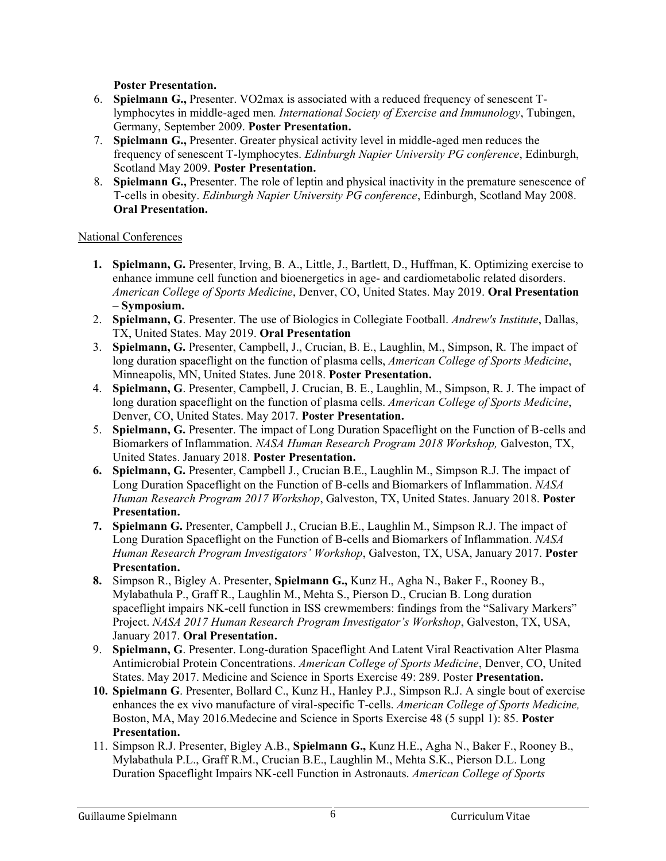**Poster Presentation.**

- 6. **Spielmann G.,** Presenter. VO2max is associated with a reduced frequency of senescent Tlymphocytes in middle-aged men*. International Society of Exercise and Immunology*, Tubingen, Germany, September 2009. **Poster Presentation.**
- 7. **Spielmann G.,** Presenter. Greater physical activity level in middle-aged men reduces the frequency of senescent T-lymphocytes. *Edinburgh Napier University PG conference*, Edinburgh, Scotland May 2009. **Poster Presentation.**
- 8. **Spielmann G.,** Presenter. The role of leptin and physical inactivity in the premature senescence of T-cells in obesity. *Edinburgh Napier University PG conference*, Edinburgh, Scotland May 2008. **Oral Presentation.**

#### National Conferences

- **1. Spielmann, G.** Presenter, Irving, B. A., Little, J., Bartlett, D., Huffman, K. Optimizing exercise to enhance immune cell function and bioenergetics in age- and cardiometabolic related disorders. *American College of Sports Medicine*, Denver, CO, United States. May 2019. **Oral Presentation – Symposium.**
- 2. **Spielmann, G**. Presenter. The use of Biologics in Collegiate Football. *Andrew's Institute*, Dallas, TX, United States. May 2019. **Oral Presentation**
- 3. **Spielmann, G.** Presenter, Campbell, J., Crucian, B. E., Laughlin, M., Simpson, R. The impact of long duration spaceflight on the function of plasma cells, *American College of Sports Medicine*, Minneapolis, MN, United States. June 2018. **Poster Presentation.**
- 4. **Spielmann, G**. Presenter, Campbell, J. Crucian, B. E., Laughlin, M., Simpson, R. J. The impact of long duration spaceflight on the function of plasma cells. *American College of Sports Medicine*, Denver, CO, United States. May 2017. **Poster Presentation.**
- 5. **Spielmann, G.** Presenter. The impact of Long Duration Spaceflight on the Function of B-cells and Biomarkers of Inflammation. *NASA Human Research Program 2018 Workshop,* Galveston, TX, United States. January 2018. **Poster Presentation.**
- **6. Spielmann, G.** Presenter, Campbell J., Crucian B.E., Laughlin M., Simpson R.J. The impact of Long Duration Spaceflight on the Function of B-cells and Biomarkers of Inflammation. *NASA Human Research Program 2017 Workshop*, Galveston, TX, United States. January 2018. **Poster Presentation.**
- **7. Spielmann G.** Presenter, Campbell J., Crucian B.E., Laughlin M., Simpson R.J. The impact of Long Duration Spaceflight on the Function of B-cells and Biomarkers of Inflammation. *NASA Human Research Program Investigators' Workshop*, Galveston, TX, USA, January 2017. **Poster Presentation.**
- **8.** Simpson R., Bigley A. Presenter, **Spielmann G.,** Kunz H., Agha N., Baker F., Rooney B., Mylabathula P., Graff R., Laughlin M., Mehta S., Pierson D., Crucian B. Long duration spaceflight impairs NK-cell function in ISS crewmembers: findings from the "Salivary Markers" Project. *NASA 2017 Human Research Program Investigator's Workshop*, Galveston, TX, USA, January 2017. **Oral Presentation.**
- 9. **Spielmann, G**. Presenter. Long-duration Spaceflight And Latent Viral Reactivation Alter Plasma Antimicrobial Protein Concentrations. *American College of Sports Medicine*, Denver, CO, United States. May 2017. Medicine and Science in Sports Exercise 49: 289. Poster **Presentation.**
- **10. Spielmann G**. Presenter, Bollard C., Kunz H., Hanley P.J., Simpson R.J. A single bout of exercise enhances the ex vivo manufacture of viral-specific T-cells. *American College of Sports Medicine,* Boston, MA, May 2016.Medecine and Science in Sports Exercise 48 (5 suppl 1): 85. **Poster Presentation.**
- 11. Simpson R.J. Presenter, Bigley A.B., **Spielmann G.,** Kunz H.E., Agha N., Baker F., Rooney B., Mylabathula P.L., Graff R.M., Crucian B.E., Laughlin M., Mehta S.K., Pierson D.L. Long Duration Spaceflight Impairs NK-cell Function in Astronauts. *American College of Sports*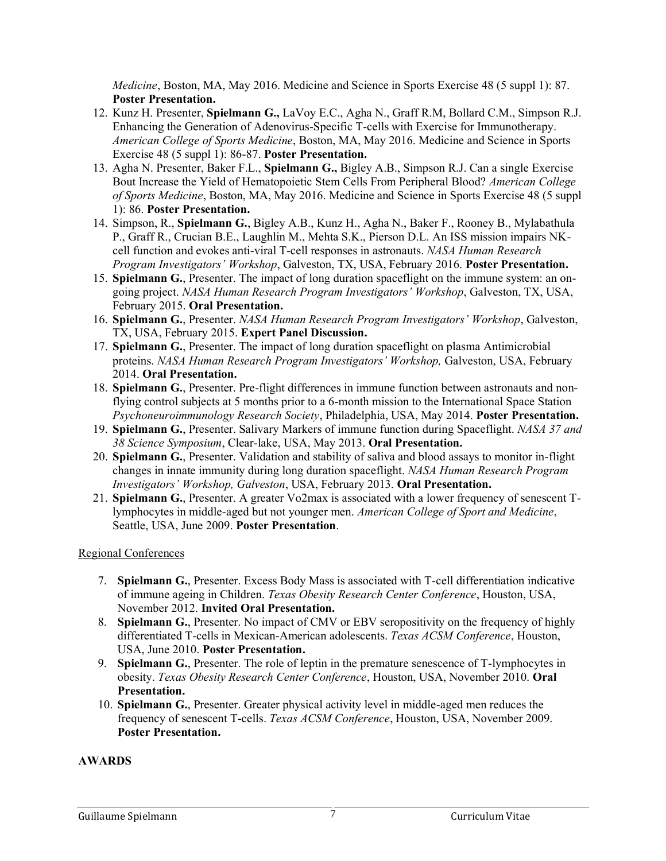*Medicine*, Boston, MA, May 2016. Medicine and Science in Sports Exercise 48 (5 suppl 1): 87. **Poster Presentation.**

- 12. Kunz H. Presenter, **Spielmann G.,** LaVoy E.C., Agha N., Graff R.M, Bollard C.M., Simpson R.J. Enhancing the Generation of Adenovirus-Specific T-cells with Exercise for Immunotherapy. *American College of Sports Medicine*, Boston, MA, May 2016. Medicine and Science in Sports Exercise 48 (5 suppl 1): 86-87. **Poster Presentation.**
- 13. Agha N. Presenter, Baker F.L., **Spielmann G.,** Bigley A.B., Simpson R.J. Can a single Exercise Bout Increase the Yield of Hematopoietic Stem Cells From Peripheral Blood? *American College of Sports Medicine*, Boston, MA, May 2016. Medicine and Science in Sports Exercise 48 (5 suppl 1): 86. **Poster Presentation.**
- 14. Simpson, R., **Spielmann G.**, Bigley A.B., Kunz H., Agha N., Baker F., Rooney B., Mylabathula P., Graff R., Crucian B.E., Laughlin M., Mehta S.K., Pierson D.L. An ISS mission impairs NKcell function and evokes anti-viral T-cell responses in astronauts. *NASA Human Research Program Investigators' Workshop*, Galveston, TX, USA, February 2016. **Poster Presentation.**
- 15. **Spielmann G.**, Presenter. The impact of long duration spaceflight on the immune system: an ongoing project. *NASA Human Research Program Investigators' Workshop*, Galveston, TX, USA, February 2015. **Oral Presentation.**
- 16. **Spielmann G.**, Presenter. *NASA Human Research Program Investigators' Workshop*, Galveston, TX, USA, February 2015. **Expert Panel Discussion.**
- 17. **Spielmann G.**, Presenter. The impact of long duration spaceflight on plasma Antimicrobial proteins. *NASA Human Research Program Investigators' Workshop,* Galveston, USA, February 2014. **Oral Presentation.**
- 18. **Spielmann G.**, Presenter. Pre-flight differences in immune function between astronauts and nonflying control subjects at 5 months prior to a 6-month mission to the International Space Station *Psychoneuroimmunology Research Society*, Philadelphia, USA, May 2014. **Poster Presentation.**
- 19. **Spielmann G.**, Presenter. Salivary Markers of immune function during Spaceflight. *NASA 37 and 38 Science Symposium*, Clear-lake, USA, May 2013. **Oral Presentation.**
- 20. **Spielmann G.**, Presenter. Validation and stability of saliva and blood assays to monitor in-flight changes in innate immunity during long duration spaceflight. *NASA Human Research Program Investigators' Workshop, Galveston*, USA, February 2013. **Oral Presentation.**
- 21. **Spielmann G.**, Presenter. A greater Vo2max is associated with a lower frequency of senescent Tlymphocytes in middle-aged but not younger men. *American College of Sport and Medicine*, Seattle, USA, June 2009. **Poster Presentation**.

#### Regional Conferences

- 7. **Spielmann G.**, Presenter. Excess Body Mass is associated with T-cell differentiation indicative of immune ageing in Children. *Texas Obesity Research Center Conference*, Houston, USA, November 2012. **Invited Oral Presentation.**
- 8. **Spielmann G.**, Presenter. No impact of CMV or EBV seropositivity on the frequency of highly differentiated T-cells in Mexican-American adolescents. *Texas ACSM Conference*, Houston, USA, June 2010. **Poster Presentation.**
- 9. **Spielmann G.**, Presenter. The role of leptin in the premature senescence of T-lymphocytes in obesity. *Texas Obesity Research Center Conference*, Houston, USA, November 2010. **Oral Presentation.**
- 10. **Spielmann G.**, Presenter. Greater physical activity level in middle-aged men reduces the frequency of senescent T-cells. *Texas ACSM Conference*, Houston, USA, November 2009. **Poster Presentation.**

#### **AWARDS**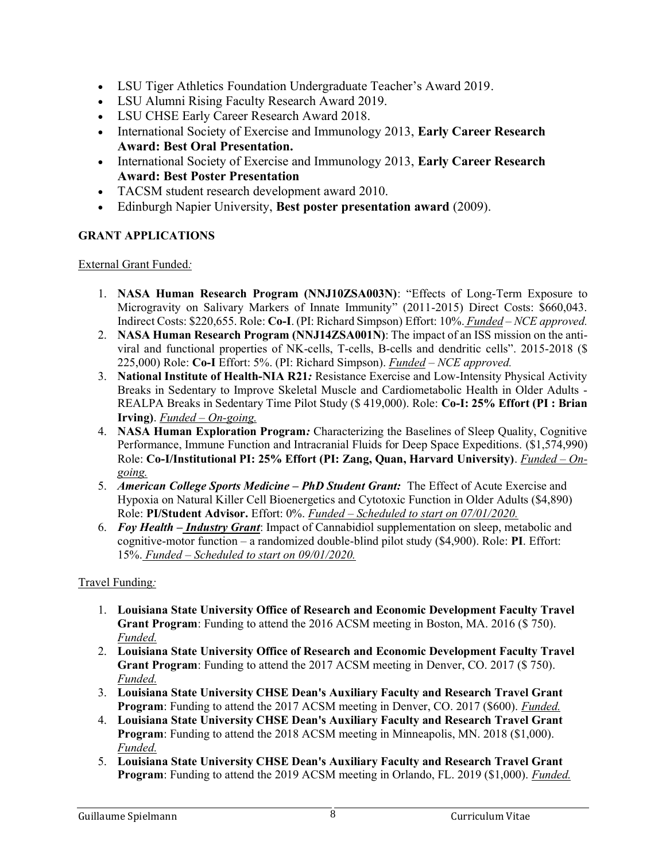- LSU Tiger Athletics Foundation Undergraduate Teacher's Award 2019.
- LSU Alumni Rising Faculty Research Award 2019.
- LSU CHSE Early Career Research Award 2018.
- International Society of Exercise and Immunology 2013, **Early Career Research Award: Best Oral Presentation.**
- International Society of Exercise and Immunology 2013, **Early Career Research Award: Best Poster Presentation**
- TACSM student research development award 2010.
- Edinburgh Napier University, **Best poster presentation award** (2009).

## **GRANT APPLICATIONS**

External Grant Funded*:*

- 1. **NASA Human Research Program (NNJ10ZSA003N)**: "Effects of Long-Term Exposure to Microgravity on Salivary Markers of Innate Immunity" (2011-2015) Direct Costs: \$660,043. Indirect Costs: \$220,655. Role: **Co-I**. (PI: Richard Simpson) Effort: 10%. *Funded* – *NCE approved.*
- 2. **NASA Human Research Program (NNJ14ZSA001N)**: The impact of an ISS mission on the antiviral and functional properties of NK-cells, T-cells, B-cells and dendritic cells". 2015-2018 (\$ 225,000) Role: **Co-I** Effort: 5%. (PI: Richard Simpson). *Funded* – *NCE approved.*
- 3. **National Institute of Health-NIA R21***:* Resistance Exercise and Low-Intensity Physical Activity Breaks in Sedentary to Improve Skeletal Muscle and Cardiometabolic Health in Older Adults - REALPA Breaks in Sedentary Time Pilot Study (\$ 419,000). Role: **Co-I: 25% Effort (PI : Brian Irving)**. *Funded – On-going.*
- 4. **NASA Human Exploration Program***:* Characterizing the Baselines of Sleep Quality, Cognitive Performance, Immune Function and Intracranial Fluids for Deep Space Expeditions. (\$1,574,990) Role: **Co-I/Institutional PI: 25% Effort (PI: Zang, Quan, Harvard University)**. *Funded – Ongoing.*
- 5. *American College Sports Medicine – PhD Student Grant:* The Effect of Acute Exercise and Hypoxia on Natural Killer Cell Bioenergetics and Cytotoxic Function in Older Adults (\$4,890) Role: **PI/Student Advisor.** Effort: 0%. *Funded – Scheduled to start on 07/01/2020.*
- 6. *Foy Health – Industry Grant*: Impact of Cannabidiol supplementation on sleep, metabolic and cognitive-motor function – a randomized double-blind pilot study (\$4,900). Role: **PI**. Effort: 15%. *Funded – Scheduled to start on 09/01/2020.*

## Travel Funding*:*

- 1. **Louisiana State University Office of Research and Economic Development Faculty Travel Grant Program**: Funding to attend the 2016 ACSM meeting in Boston, MA. 2016 (\$ 750). *Funded.*
- 2. **Louisiana State University Office of Research and Economic Development Faculty Travel Grant Program**: Funding to attend the 2017 ACSM meeting in Denver, CO. 2017 (\$ 750). *Funded.*
- 3. **Louisiana State University CHSE Dean's Auxiliary Faculty and Research Travel Grant Program**: Funding to attend the 2017 ACSM meeting in Denver, CO. 2017 (\$600). *Funded.*
- 4. **Louisiana State University CHSE Dean's Auxiliary Faculty and Research Travel Grant Program**: Funding to attend the 2018 ACSM meeting in Minneapolis, MN. 2018 (\$1,000). *Funded.*
- 5. **Louisiana State University CHSE Dean's Auxiliary Faculty and Research Travel Grant Program**: Funding to attend the 2019 ACSM meeting in Orlando, FL. 2019 (\$1,000). *Funded.*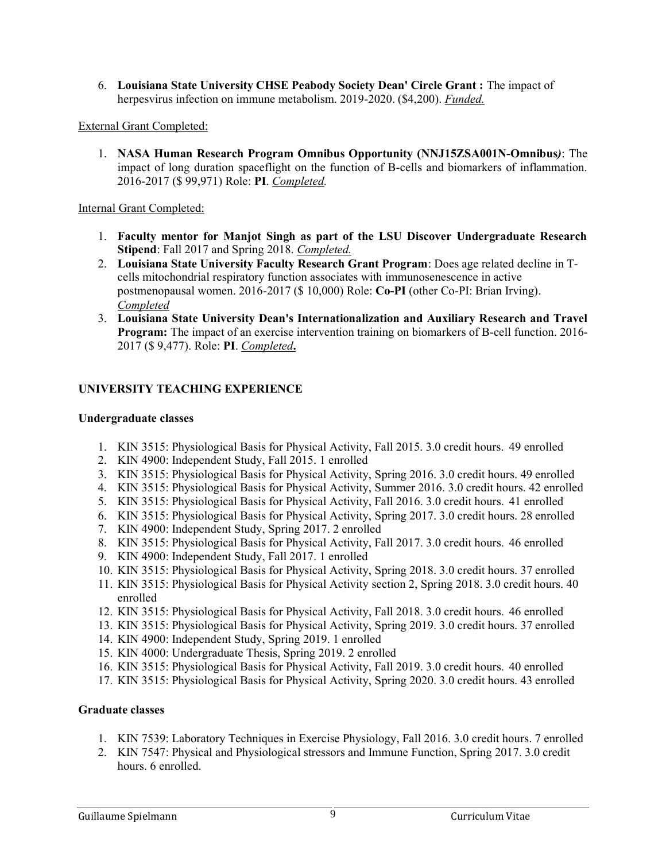6. **Louisiana State University CHSE Peabody Society Dean' Circle Grant :** The impact of herpesvirus infection on immune metabolism. 2019-2020. (\$4,200). *Funded.*

External Grant Completed:

1. **NASA Human Research Program Omnibus Opportunity (NNJ15ZSA001N-Omnibus***)*: The impact of long duration spaceflight on the function of B-cells and biomarkers of inflammation. 2016-2017 (\$ 99,971) Role: **PI**. *Completed.* 

Internal Grant Completed:

- 1. **Faculty mentor for Manjot Singh as part of the LSU Discover Undergraduate Research Stipend**: Fall 2017 and Spring 2018. *Completed.*
- 2. **Louisiana State University Faculty Research Grant Program**: Does age related decline in Tcells mitochondrial respiratory function associates with immunosenescence in active postmenopausal women. 2016-2017 (\$ 10,000) Role: **Co-PI** (other Co-PI: Brian Irving). *Completed*
- 3. **Louisiana State University Dean's Internationalization and Auxiliary Research and Travel Program:** The impact of an exercise intervention training on biomarkers of B-cell function. 2016- 2017 (\$ 9,477). Role: **PI**. *Completed***.**

## **UNIVERSITY TEACHING EXPERIENCE**

#### **Undergraduate classes**

- 1. KIN 3515: Physiological Basis for Physical Activity, Fall 2015. 3.0 credit hours. 49 enrolled
- 2. KIN 4900: Independent Study, Fall 2015. 1 enrolled
- 3. KIN 3515: Physiological Basis for Physical Activity, Spring 2016. 3.0 credit hours. 49 enrolled
- 4. KIN 3515: Physiological Basis for Physical Activity, Summer 2016. 3.0 credit hours. 42 enrolled
- 5. KIN 3515: Physiological Basis for Physical Activity, Fall 2016. 3.0 credit hours. 41 enrolled
- 6. KIN 3515: Physiological Basis for Physical Activity, Spring 2017. 3.0 credit hours. 28 enrolled
- 7. KIN 4900: Independent Study, Spring 2017. 2 enrolled
- 8. KIN 3515: Physiological Basis for Physical Activity, Fall 2017. 3.0 credit hours. 46 enrolled
- 9. KIN 4900: Independent Study, Fall 2017. 1 enrolled
- 10. KIN 3515: Physiological Basis for Physical Activity, Spring 2018. 3.0 credit hours. 37 enrolled
- 11. KIN 3515: Physiological Basis for Physical Activity section 2, Spring 2018. 3.0 credit hours. 40 enrolled
- 12. KIN 3515: Physiological Basis for Physical Activity, Fall 2018. 3.0 credit hours. 46 enrolled
- 13. KIN 3515: Physiological Basis for Physical Activity, Spring 2019. 3.0 credit hours. 37 enrolled
- 14. KIN 4900: Independent Study, Spring 2019. 1 enrolled
- 15. KIN 4000: Undergraduate Thesis, Spring 2019. 2 enrolled
- 16. KIN 3515: Physiological Basis for Physical Activity, Fall 2019. 3.0 credit hours. 40 enrolled
- 17. KIN 3515: Physiological Basis for Physical Activity, Spring 2020. 3.0 credit hours. 43 enrolled

#### **Graduate classes**

- 1. KIN 7539: Laboratory Techniques in Exercise Physiology, Fall 2016. 3.0 credit hours. 7 enrolled
- 2. KIN 7547: Physical and Physiological stressors and Immune Function, Spring 2017. 3.0 credit hours. 6 enrolled.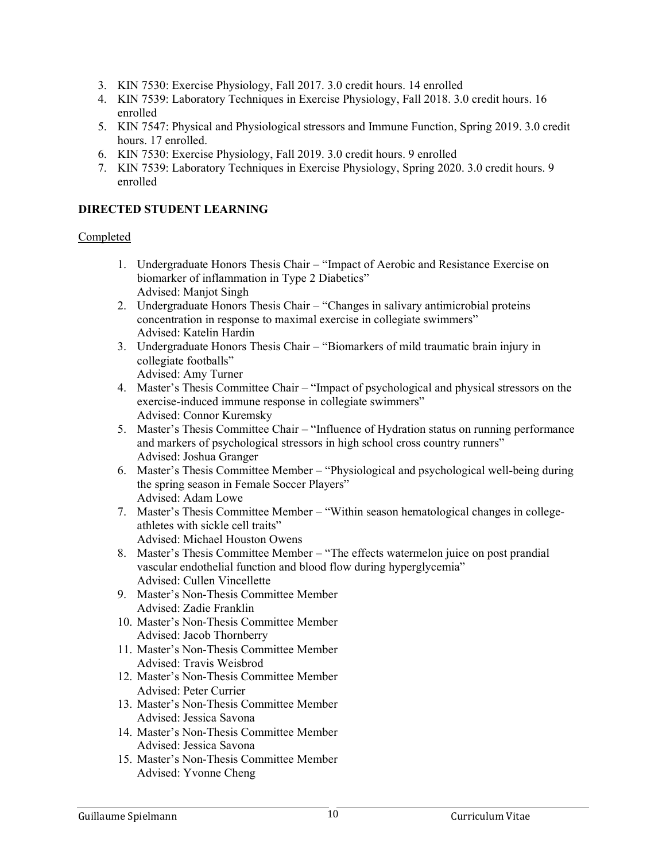- 3. KIN 7530: Exercise Physiology, Fall 2017. 3.0 credit hours. 14 enrolled
- 4. KIN 7539: Laboratory Techniques in Exercise Physiology, Fall 2018. 3.0 credit hours. 16 enrolled
- 5. KIN 7547: Physical and Physiological stressors and Immune Function, Spring 2019. 3.0 credit hours. 17 enrolled.
- 6. KIN 7530: Exercise Physiology, Fall 2019. 3.0 credit hours. 9 enrolled
- 7. KIN 7539: Laboratory Techniques in Exercise Physiology, Spring 2020. 3.0 credit hours. 9 enrolled

#### **DIRECTED STUDENT LEARNING**

#### Completed

- 1. Undergraduate Honors Thesis Chair "Impact of Aerobic and Resistance Exercise on biomarker of inflammation in Type 2 Diabetics" Advised: Manjot Singh
- 2. Undergraduate Honors Thesis Chair "Changes in salivary antimicrobial proteins concentration in response to maximal exercise in collegiate swimmers" Advised: Katelin Hardin
- 3. Undergraduate Honors Thesis Chair "Biomarkers of mild traumatic brain injury in collegiate footballs"

Advised: Amy Turner

- 4. Master's Thesis Committee Chair "Impact of psychological and physical stressors on the exercise-induced immune response in collegiate swimmers" Advised: Connor Kuremsky
- 5. Master's Thesis Committee Chair "Influence of Hydration status on running performance and markers of psychological stressors in high school cross country runners" Advised: Joshua Granger
- 6. Master's Thesis Committee Member "Physiological and psychological well-being during the spring season in Female Soccer Players" Advised: Adam Lowe
- 7. Master's Thesis Committee Member "Within season hematological changes in collegeathletes with sickle cell traits" Advised: Michael Houston Owens
- 8. Master's Thesis Committee Member "The effects watermelon juice on post prandial vascular endothelial function and blood flow during hyperglycemia" Advised: Cullen Vincellette
- 9. Master's Non-Thesis Committee Member Advised: Zadie Franklin
- 10. Master's Non-Thesis Committee Member Advised: Jacob Thornberry
- 11. Master's Non-Thesis Committee Member Advised: Travis Weisbrod
- 12. Master's Non-Thesis Committee Member Advised: Peter Currier
- 13. Master's Non-Thesis Committee Member Advised: Jessica Savona
- 14. Master's Non-Thesis Committee Member Advised: Jessica Savona
- 15. Master's Non-Thesis Committee Member Advised: Yvonne Cheng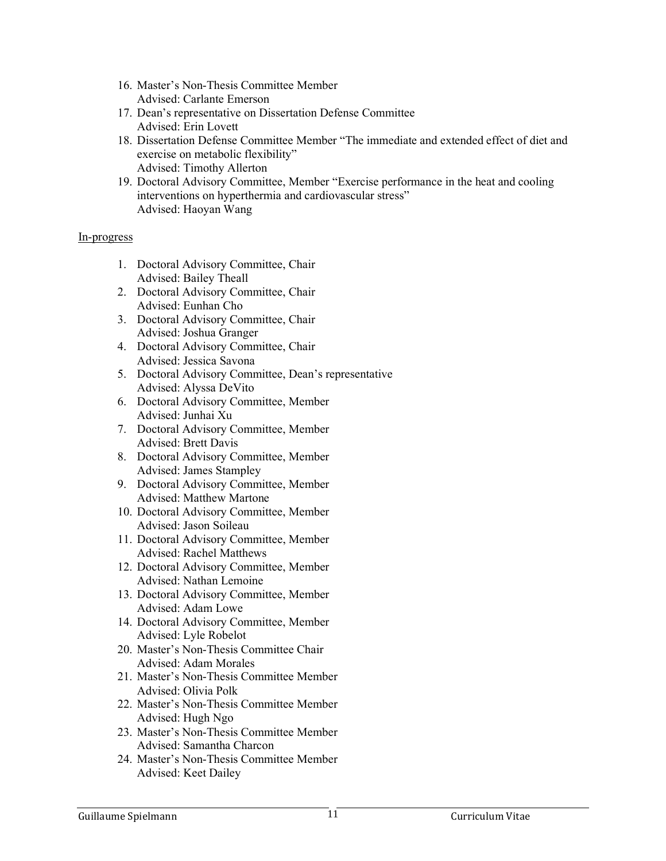- 16. Master's Non-Thesis Committee Member Advised: Carlante Emerson
- 17. Dean's representative on Dissertation Defense Committee Advised: Erin Lovett
- 18. Dissertation Defense Committee Member "The immediate and extended effect of diet and exercise on metabolic flexibility" Advised: Timothy Allerton
- 19. Doctoral Advisory Committee, Member "Exercise performance in the heat and cooling interventions on hyperthermia and cardiovascular stress" Advised: Haoyan Wang

#### In-progress

- 1. Doctoral Advisory Committee, Chair Advised: Bailey Theall
- 2. Doctoral Advisory Committee, Chair Advised: Eunhan Cho
- 3. Doctoral Advisory Committee, Chair Advised: Joshua Granger
- 4. Doctoral Advisory Committee, Chair Advised: Jessica Savona
- 5. Doctoral Advisory Committee, Dean's representative Advised: Alyssa DeVito
- 6. Doctoral Advisory Committee, Member Advised: Junhai Xu
- 7. Doctoral Advisory Committee, Member Advised: Brett Davis
- 8. Doctoral Advisory Committee, Member Advised: James Stampley
- 9. Doctoral Advisory Committee, Member Advised: Matthew Martone
- 10. Doctoral Advisory Committee, Member Advised: Jason Soileau
- 11. Doctoral Advisory Committee, Member Advised: Rachel Matthews
- 12. Doctoral Advisory Committee, Member Advised: Nathan Lemoine
- 13. Doctoral Advisory Committee, Member Advised: Adam Lowe
- 14. Doctoral Advisory Committee, Member Advised: Lyle Robelot
- 20. Master's Non-Thesis Committee Chair Advised: Adam Morales
- 21. Master's Non-Thesis Committee Member Advised: Olivia Polk
- 22. Master's Non-Thesis Committee Member Advised: Hugh Ngo
- 23. Master's Non-Thesis Committee Member Advised: Samantha Charcon
- 24. Master's Non-Thesis Committee Member Advised: Keet Dailey